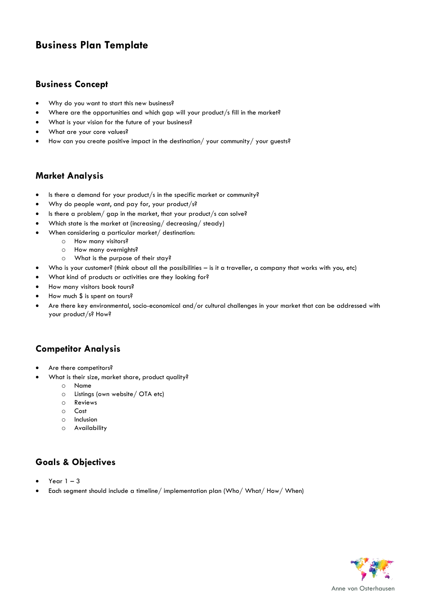# **Business Plan Template**

#### **Business Concept**

- Why do you want to start this new business?
- Where are the opportunities and which gap will your product/s fill in the market?
- What is your vision for the future of your business?
- What are your core values?
- How can you create positive impact in the destination/ your community/ your guests?

#### **Market Analysis**

- Is there a demand for your product/s in the specific market or community?
- Why do people want, and pay for, your product/s?
- Is there a problem/ gap in the market, that your product/s can solve?
- Which state is the market at (increasing/ decreasing/ steady)
- When considering a particular market/ destination:
	- o How many visitors?
	- o How many overnights?
	- o What is the purpose of their stay?
- Who is your customer? (think about all the possibilities is it a traveller, a company that works with you, etc)
- What kind of products or activities are they looking for?
- How many visitors book tours?
- How much \$ is spent on tours?
- Are there key environmental, socio-economical and/or cultural challenges in your market that can be addressed with your product/s? How?

### **Competitor Analysis**

- Are there competitors?
	- What is their size, market share, product quality?
		- o Name
		- o Listings (own website/ OTA etc)
		- o Reviews
		- o Cost
		- o Inclusion
		- o Availability

## **Goals & Objectives**

- Year  $1 3$
- Each segment should include a timeline/ implementation plan (Who/ What/ How/ When)

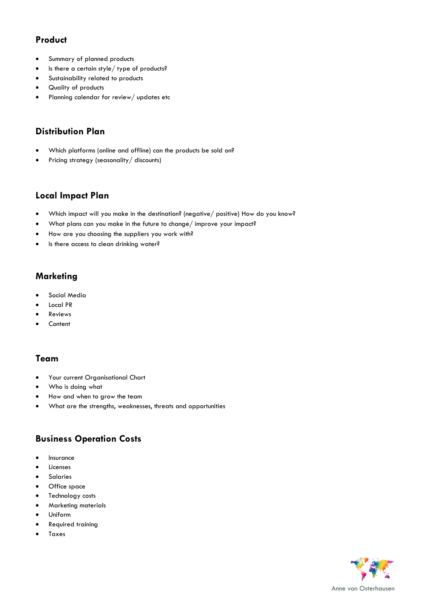## **Product**

- Summary of planned products
- Is there a certain style/ type of products?
- Sustainability related to products
- Quality of products
- Planning calendar for review/ updates etc

## **Distribution Plan**

- Which platforms (online and offline) can the products be sold on?
- Pricing strategy (seasonality/ discounts)

#### **Local Impact Plan**

- Which impact will you make in the destination? (negative/ positive) How do you know?
- What plans can you make in the future to change/ improve your impact?
- How are you choosing the suppliers you work with?
- Is there access to clean drinking water?

#### **Marketing**

- Social Media
- Local PR
- **Reviews**
- **Content**

### **Team**

- Your current Organisational Chart
- Who is doing what
- How and when to grow the team
- What are the strengths, weaknesses, threats and opportunities

### **Business Operation Costs**

- **Insurance**
- **Licenses**
- **Salaries**
- Office space
- Technology costs
- Marketing materials
- Uniform
- Required training
- **Taxes**